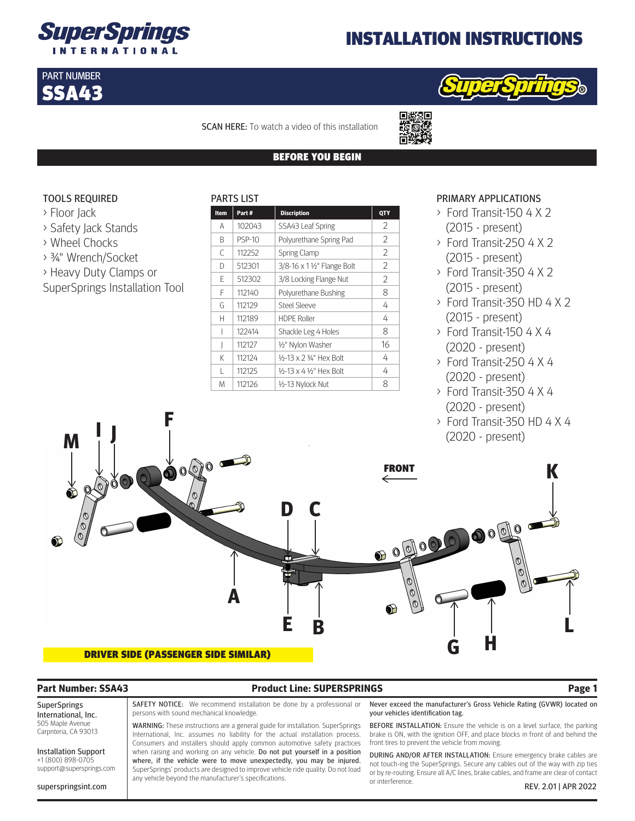

# INSTALLATION INSTRUCTIONS



SCAN HERE: To watch a video of this installation

PARTS LIST

回缀短回

### BEFORE YOU BEGIN

## TOOLS REQUIRED

> Floor Jack

PART NUMBER SSA43

- > Safety Jack Stands
- > Wheel Chocks
- > ¾" Wrench/Socket
- > Heavy Duty Clamps or
- SuperSprings Installation Tool

| <b>Item</b> | Part#         | <b>Discription</b>          | QTY |  |
|-------------|---------------|-----------------------------|-----|--|
| А           | 102043        | SSA43 Leaf Spring           | 2   |  |
| B           | <b>PSP-10</b> | Polyurethane Spring Pad     | 2   |  |
| C           | 112252        | <b>Spring Clamp</b>         | 2   |  |
| D           | 512301        | 3/8-16 x 1 1/2" Flange Bolt | 2   |  |
| F           | 512302        | 3/8 Locking Flange Nut      | 2   |  |
| F           | 112140        | Polyurethane Bushing        | 8   |  |
| G           | 112129        | Steel Sleeve                | 4   |  |
| н           | 112189        | <b>HDPE Roller</b>          | 4   |  |
|             | 122414        | Shackle Leg 4 Holes         | 8   |  |
|             | 112127        | 1/2" Nylon Washer           | 16  |  |
| K           | 112124        | 16-13 x 2 3⁄4" Hex Bolt     | 4   |  |
| L           | 112125        | 16-13 x 4 16" Hex Bolt      | 4   |  |
| M           | 112126        | 1/2-13 Nylock Nut           | 8   |  |

### PRIMARY APPLICATIONS

- > Ford Transit-150 4 X 2 (2015 - present)
- > Ford Transit-250 4 X 2 (2015 - present)
- > Ford Transit-350 4 X 2 (2015 - present)
- > Ford Transit-350 HD 4 X 2 (2015 - present)
- > Ford Transit-150 4 X 4 (2020 - present)
- > Ford Transit-250 4 X 4 (2020 - present)
- > Ford Transit-350 4 X 4 (2020 - present)
- > Ford Transit-350 HD 4 X 4 (2020 - present)



## **Part Number: SSA43 Product Line: SUPERSPRINGS Page 1**

SuperSprings International, Inc. 505 Maple Avenue Carpnteria, CA 93013

Installation Support +1 (800) 898-0705 support@supersprings.com

SAFETY NOTICE: We recommend installation be done by a professional or persons with sound mechanical knowledge.

WARNING: These instructions are a general guide for installation. SuperSprings International, Inc. assumes no liability for the actual installation process. Consumers and installers should apply common automotive safety practices when raising and working on any vehicle. Do not put yourself in a position where, if the vehicle were to move unexpectedly, you may be injured. SuperSprings' products are designed to improve vehicle ride quality. Do not load any vehicle beyond the manufacturer's specifications.

Never exceed the manufacturer's Gross Vehicle Rating (GVWR) located on your vehicles identification tag.

BEFORE INSTALLATION: Ensure the vehicle is on a level surface, the parking brake is ON, with the ignition OFF, and place blocks in front of and behind the front tires to prevent the vehicle from moving.

DURING AND/OR AFTER INSTALLATION: Ensure emergency brake cables are not touch-ing the SuperSprings. Secure any cables out of the way with zip ties or by re-routing. Ensure all A/C lines, brake cables, and frame are clear of contact or interference.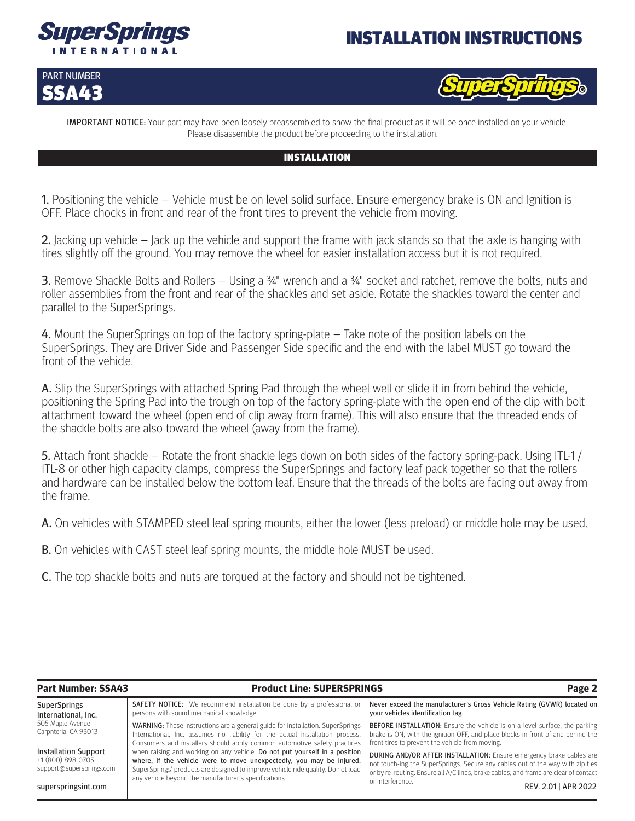

# INSTALLATION INSTRUCTIONS





IMPORTANT NOTICE: Your part may have been loosely preassembled to show the final product as it will be once installed on your vehicle. Please disassemble the product before proceeding to the installation.

## INSTALLATION

1. Positioning the vehicle – Vehicle must be on level solid surface. Ensure emergency brake is ON and Ignition is OFF. Place chocks in front and rear of the front tires to prevent the vehicle from moving.

2. Jacking up vehicle – Jack up the vehicle and support the frame with jack stands so that the axle is hanging with tires slightly off the ground. You may remove the wheel for easier installation access but it is not required.

3. Remove Shackle Bolts and Rollers – Using a ¾" wrench and a ¾" socket and ratchet, remove the bolts, nuts and roller assemblies from the front and rear of the shackles and set aside. Rotate the shackles toward the center and parallel to the SuperSprings.

4. Mount the SuperSprings on top of the factory spring-plate – Take note of the position labels on the SuperSprings. They are Driver Side and Passenger Side specific and the end with the label MUST go toward the front of the vehicle.

A. Slip the SuperSprings with attached Spring Pad through the wheel well or slide it in from behind the vehicle, positioning the Spring Pad into the trough on top of the factory spring-plate with the open end of the clip with bolt attachment toward the wheel (open end of clip away from frame). This will also ensure that the threaded ends of the shackle bolts are also toward the wheel (away from the frame).

5. Attach front shackle – Rotate the front shackle legs down on both sides of the factory spring-pack. Using ITL-1 / ITL-8 or other high capacity clamps, compress the SuperSprings and factory leaf pack together so that the rollers and hardware can be installed below the bottom leaf. Ensure that the threads of the bolts are facing out away from the frame.

A. On vehicles with STAMPED steel leaf spring mounts, either the lower (less preload) or middle hole may be used.

**B.** On vehicles with CAST steel leaf spring mounts, the middle hole MUST be used.

C. The top shackle bolts and nuts are torqued at the factory and should not be tightened.

| <b>Part Number: SSA43</b>                                                    | <b>Product Line: SUPERSPRINGS</b>                                                                                                                                                                                                                                                               | Page 2                                                                                                                                                                                                                                               |  |
|------------------------------------------------------------------------------|-------------------------------------------------------------------------------------------------------------------------------------------------------------------------------------------------------------------------------------------------------------------------------------------------|------------------------------------------------------------------------------------------------------------------------------------------------------------------------------------------------------------------------------------------------------|--|
| <b>SuperSprings</b><br>International, Inc.                                   | <b>SAFETY NOTICE:</b> We recommend installation be done by a professional or<br>persons with sound mechanical knowledge.                                                                                                                                                                        | Never exceed the manufacturer's Gross Vehicle Rating (GVWR) located on<br>your vehicles identification tag.                                                                                                                                          |  |
| 505 Maple Avenue<br>Carpnteria, CA 93013                                     | <b>WARNING:</b> These instructions are a general guide for installation. SuperSprings<br>International, Inc. assumes no liability for the actual installation process.<br>Consumers and installers should apply common automotive safety practices                                              | <b>BEFORE INSTALLATION:</b> Ensure the vehicle is on a level surface, the parking<br>brake is ON, with the ignition OFF, and place blocks in front of and behind the<br>front tires to prevent the vehicle from moving.                              |  |
| <b>Installation Support</b><br>+1 (800) 898-0705<br>support@supersprings.com | when raising and working on any vehicle. Do not put yourself in a position<br>where, if the vehicle were to move unexpectedly, you may be injured.<br>SuperSprings' products are designed to improve vehicle ride quality. Do not load<br>any vehicle beyond the manufacturer's specifications. | <b>DURING AND/OR AFTER INSTALLATION:</b> Ensure emergency brake cables are<br>not touch-ing the SuperSprings. Secure any cables out of the way with zip ties<br>or by re-routing. Ensure all A/C lines, brake cables, and frame are clear of contact |  |
| superspringsint.com                                                          |                                                                                                                                                                                                                                                                                                 | or interference.<br>REV. 2.01   APR 2022                                                                                                                                                                                                             |  |